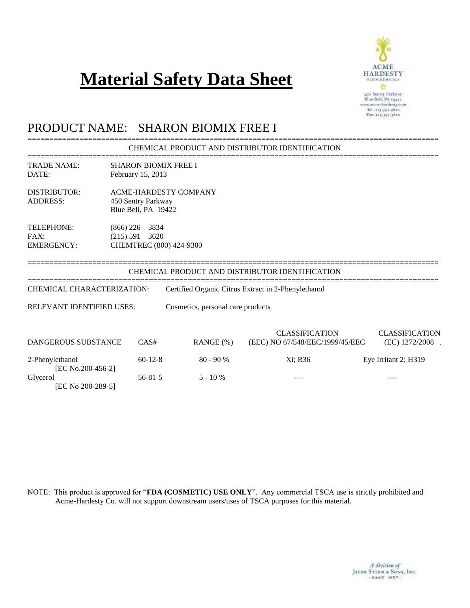# **Material Safety Data Sheet**



450 Sentry Parkway<br>Blue Bell, PA 19422<br>www.acme-hardesty.com Tel: 215.591.3610 Fax: 115.591.3620

## PRODUCT NAME: SHARON BIOMIX FREE I

[EC No 200-289-5]

#### =============================================================================================== CHEMICAL PRODUCT AND DISTRIBUTOR IDENTIFICATION

|                                                |                                                                           |                                   | CHEMICAL PRODUCT AND DISTRIBUTOR IDENTIFICATION          |                                         |
|------------------------------------------------|---------------------------------------------------------------------------|-----------------------------------|----------------------------------------------------------|-----------------------------------------|
| <b>TRADE NAME:</b><br>DATE:                    | <b>SHARON BIOMIX FREE I</b><br>February 15, 2013                          |                                   |                                                          |                                         |
| DISTRIBUTOR:<br><b>ADDRESS:</b>                | <b>ACME-HARDESTY COMPANY</b><br>450 Sentry Parkway<br>Blue Bell, PA 19422 |                                   |                                                          |                                         |
| <b>TELEPHONE:</b><br>FAX:<br><b>EMERGENCY:</b> | $(866)$ 226 – 3834<br>$(215) 591 - 3620$<br>CHEMTREC (800) 424-9300       |                                   |                                                          |                                         |
|                                                |                                                                           |                                   | CHEMICAL PRODUCT AND DISTRIBUTOR IDENTIFICATION          |                                         |
| CHEMICAL CHARACTERIZATION:                     |                                                                           |                                   | Certified Organic Citrus Extract in 2-Phenylethanol      |                                         |
| <b>RELEVANT IDENTIFIED USES:</b>               |                                                                           | Cosmetics, personal care products |                                                          |                                         |
| DANGEROUS SUBSTANCE                            | CAS#                                                                      | RANGE(%)                          | <b>CLASSIFICATION</b><br>(EEC) NO 67/548/EEC/1999/45/EEC | <b>CLASSIFICATION</b><br>(EC) 1272/2008 |
| 2-Phenylethanol<br>[EC No.200-456-2]           | $60-12-8$                                                                 | $80 - 90 %$                       | Xi; R36                                                  | Eye Irritant 2; H319                    |
| Glycerol                                       | $56 - 81 - 5$                                                             | $5 - 10\%$                        |                                                          |                                         |

NOTE: This product is approved for "**FDA (COSMETIC) USE ONLY**". Any commercial TSCA use is strictly prohibited and Acme-Hardesty Co. will not support downstream users/uses of TSCA purposes for this material.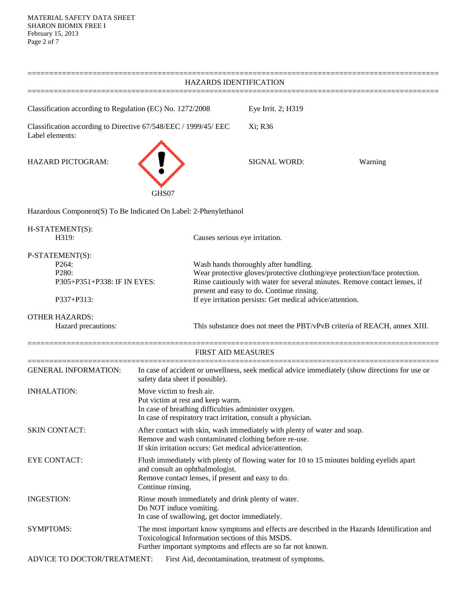| HAZARDS IDENTIFICATION                                                                      |                                                                                                                                                                                                        |                                                                                                                                                                                                                                                                                                             |                                                    |                                                                                                |
|---------------------------------------------------------------------------------------------|--------------------------------------------------------------------------------------------------------------------------------------------------------------------------------------------------------|-------------------------------------------------------------------------------------------------------------------------------------------------------------------------------------------------------------------------------------------------------------------------------------------------------------|----------------------------------------------------|------------------------------------------------------------------------------------------------|
| Classification according to Regulation (EC) No. 1272/2008                                   |                                                                                                                                                                                                        |                                                                                                                                                                                                                                                                                                             | Eye Irrit. 2; H319                                 |                                                                                                |
| Classification according to Directive 67/548/EEC / 1999/45/ EEC<br>Label elements:          |                                                                                                                                                                                                        |                                                                                                                                                                                                                                                                                                             | Xi; R36                                            |                                                                                                |
| <b>HAZARD PICTOGRAM:</b>                                                                    |                                                                                                                                                                                                        |                                                                                                                                                                                                                                                                                                             | <b>SIGNAL WORD:</b>                                | Warning                                                                                        |
|                                                                                             | GHS07                                                                                                                                                                                                  |                                                                                                                                                                                                                                                                                                             |                                                    |                                                                                                |
| Hazardous Component(S) To Be Indicated On Label: 2-Phenylethanol                            |                                                                                                                                                                                                        |                                                                                                                                                                                                                                                                                                             |                                                    |                                                                                                |
| H-STATEMENT(S):<br>H319:                                                                    |                                                                                                                                                                                                        | Causes serious eye irritation.                                                                                                                                                                                                                                                                              |                                                    |                                                                                                |
| P-STATEMENT(S):<br>P <sub>264</sub> :<br>P280:<br>P305+P351+P338: IF IN EYES:<br>P337+P313: |                                                                                                                                                                                                        | Wash hands thoroughly after handling.<br>Wear protective gloves/protective clothing/eye protection/face protection.<br>Rinse cautiously with water for several minutes. Remove contact lenses, if<br>present and easy to do. Continue rinsing.<br>If eye irritation persists: Get medical advice/attention. |                                                    |                                                                                                |
| <b>OTHER HAZARDS:</b><br>Hazard precautions:                                                |                                                                                                                                                                                                        |                                                                                                                                                                                                                                                                                                             |                                                    | This substance does not meet the PBT/vPvB criteria of REACH, annex XIII.                       |
|                                                                                             |                                                                                                                                                                                                        | <b>FIRST AID MEASURES</b>                                                                                                                                                                                                                                                                                   |                                                    |                                                                                                |
| <b>GENERAL INFORMATION:</b>                                                                 | safety data sheet if possible).                                                                                                                                                                        |                                                                                                                                                                                                                                                                                                             |                                                    | In case of accident or unwellness, seek medical advice immediately (show directions for use or |
| <b>INHALATION:</b>                                                                          | Move victim to fresh air.<br>Put victim at rest and keep warm.<br>In case of breathing difficulties administer oxygen.<br>In case of respiratory tract irritation, consult a physician.                |                                                                                                                                                                                                                                                                                                             |                                                    |                                                                                                |
| <b>SKIN CONTACT:</b>                                                                        | After contact with skin, wash immediately with plenty of water and soap.<br>Remove and wash contaminated clothing before re-use.<br>If skin irritation occurs: Get medical advice/attention.           |                                                                                                                                                                                                                                                                                                             |                                                    |                                                                                                |
| <b>EYE CONTACT:</b>                                                                         | Flush immediately with plenty of flowing water for 10 to 15 minutes holding eyelids apart<br>and consult an ophthalmologist.<br>Remove contact lenses, if present and easy to do.<br>Continue rinsing. |                                                                                                                                                                                                                                                                                                             |                                                    |                                                                                                |
| <b>INGESTION:</b>                                                                           | Rinse mouth immediately and drink plenty of water.<br>Do NOT induce vomiting.<br>In case of swallowing, get doctor immediately.                                                                        |                                                                                                                                                                                                                                                                                                             |                                                    |                                                                                                |
| <b>SYMPTOMS:</b>                                                                            |                                                                                                                                                                                                        | The most important know symptoms and effects are described in the Hazards Identification and<br>Toxicological Information sections of this MSDS.<br>Further important symptoms and effects are so far not known.                                                                                            |                                                    |                                                                                                |
| ADVICE TO DOCTOR/TREATMENT:                                                                 |                                                                                                                                                                                                        |                                                                                                                                                                                                                                                                                                             | First Aid, decontamination, treatment of symptoms. |                                                                                                |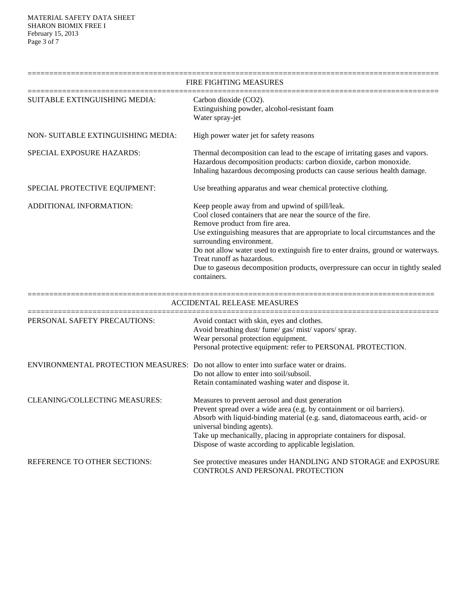|                                                                                        | FIRE FIGHTING MEASURES                                                                                                                                                                                                                                                                                                                                                                                                                                                              |
|----------------------------------------------------------------------------------------|-------------------------------------------------------------------------------------------------------------------------------------------------------------------------------------------------------------------------------------------------------------------------------------------------------------------------------------------------------------------------------------------------------------------------------------------------------------------------------------|
| SUITABLE EXTINGUISHING MEDIA:                                                          | Carbon dioxide (CO2).<br>Extinguishing powder, alcohol-resistant foam<br>Water spray-jet                                                                                                                                                                                                                                                                                                                                                                                            |
| NON- SUITABLE EXTINGUISHING MEDIA:                                                     | High power water jet for safety reasons                                                                                                                                                                                                                                                                                                                                                                                                                                             |
| SPECIAL EXPOSURE HAZARDS:                                                              | Thermal decomposition can lead to the escape of irritating gases and vapors.<br>Hazardous decomposition products: carbon dioxide, carbon monoxide.<br>Inhaling hazardous decomposing products can cause serious health damage.                                                                                                                                                                                                                                                      |
| SPECIAL PROTECTIVE EQUIPMENT:                                                          | Use breathing apparatus and wear chemical protective clothing.                                                                                                                                                                                                                                                                                                                                                                                                                      |
| ADDITIONAL INFORMATION:                                                                | Keep people away from and upwind of spill/leak.<br>Cool closed containers that are near the source of the fire.<br>Remove product from fire area.<br>Use extinguishing measures that are appropriate to local circumstances and the<br>surrounding environment.<br>Do not allow water used to extinguish fire to enter drains, ground or waterways.<br>Treat runoff as hazardous.<br>Due to gaseous decomposition products, overpressure can occur in tightly sealed<br>containers. |
|                                                                                        | <b>ACCIDENTAL RELEASE MEASURES</b>                                                                                                                                                                                                                                                                                                                                                                                                                                                  |
| PERSONAL SAFETY PRECAUTIONS:                                                           | Avoid contact with skin, eyes and clothes.<br>Avoid breathing dust/ fume/ gas/ mist/ vapors/ spray.<br>Wear personal protection equipment.<br>Personal protective equipment: refer to PERSONAL PROTECTION.                                                                                                                                                                                                                                                                          |
| ENVIRONMENTAL PROTECTION MEASURES: Do not allow to enter into surface water or drains. | Do not allow to enter into soil/subsoil.                                                                                                                                                                                                                                                                                                                                                                                                                                            |

|                               | Retain contaminated washing water and dispose it.                            |
|-------------------------------|------------------------------------------------------------------------------|
| CLEANING/COLLECTING MEASURES: | Measures to prevent aerosol and dust generation                              |
|                               | Prevent spread over a wide area (e.g. by containment or oil barriers).       |
|                               | Absorb with liquid-binding material (e.g. sand, diatomaceous earth, acid- or |
|                               | universal binding agents).                                                   |
|                               | Take up mechanically, placing in appropriate containers for disposal.        |
|                               | Dispose of waste according to applicable legislation.                        |
|                               |                                                                              |

REFERENCE TO OTHER SECTIONS: See protective measures under HANDLING AND STORAGE and EXPOSURE CONTROLS AND PERSONAL PROTECTION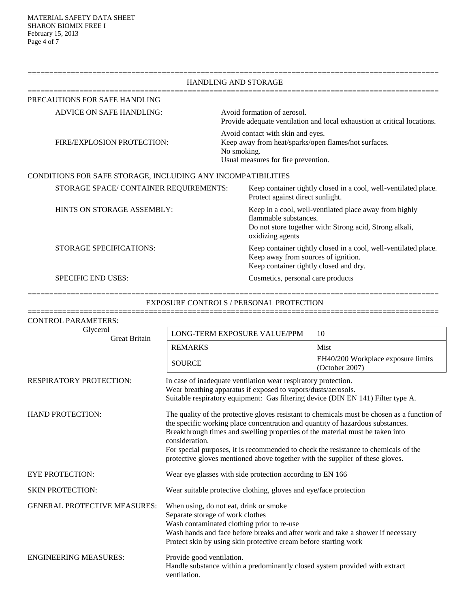|                                                              | <b>HANDLING AND STORAGE</b>                                                                                                                                    |
|--------------------------------------------------------------|----------------------------------------------------------------------------------------------------------------------------------------------------------------|
| PRECAUTIONS FOR SAFE HANDLING                                |                                                                                                                                                                |
| <b>ADVICE ON SAFE HANDLING:</b>                              | Avoid formation of aerosol.<br>Provide adequate ventilation and local exhaustion at critical locations.                                                        |
| FIRE/EXPLOSION PROTECTION:                                   | Avoid contact with skin and eyes.<br>Keep away from heat/sparks/open flames/hot surfaces.<br>No smoking.<br>Usual measures for fire prevention.                |
| CONDITIONS FOR SAFE STORAGE, INCLUDING ANY INCOMPATIBILITIES |                                                                                                                                                                |
| STORAGE SPACE/CONTAINER REQUIREMENTS:                        | Keep container tightly closed in a cool, well-ventilated place.<br>Protect against direct sunlight.                                                            |
| HINTS ON STORAGE ASSEMBLY:                                   | Keep in a cool, well-ventilated place away from highly<br>flammable substances.<br>Do not store together with: Strong acid, Strong alkali,<br>oxidizing agents |
| STORAGE SPECIFICATIONS:                                      | Keep container tightly closed in a cool, well-ventilated place.<br>Keep away from sources of ignition.<br>Keep container tightly closed and dry.               |
| <b>SPECIFIC END USES:</b>                                    | Cosmetics, personal care products                                                                                                                              |

===============================================================================================

| <b>EXPOSURE CONTROLS / PERSONAL PROTECTION</b> |                                                                                                                                                                                                                                                                                                                                                                                                                                                          |                                                      |
|------------------------------------------------|----------------------------------------------------------------------------------------------------------------------------------------------------------------------------------------------------------------------------------------------------------------------------------------------------------------------------------------------------------------------------------------------------------------------------------------------------------|------------------------------------------------------|
| <b>CONTROL PARAMETERS:</b>                     |                                                                                                                                                                                                                                                                                                                                                                                                                                                          |                                                      |
| Glycerol<br><b>Great Britain</b>               | LONG-TERM EXPOSURE VALUE/PPM                                                                                                                                                                                                                                                                                                                                                                                                                             | 10                                                   |
|                                                | <b>REMARKS</b>                                                                                                                                                                                                                                                                                                                                                                                                                                           | Mist                                                 |
|                                                | <b>SOURCE</b>                                                                                                                                                                                                                                                                                                                                                                                                                                            | EH40/200 Workplace exposure limits<br>(October 2007) |
| <b>RESPIRATORY PROTECTION:</b>                 | In case of inadequate ventilation wear respiratory protection.<br>Wear breathing apparatus if exposed to vapors/dusts/aerosols.<br>Suitable respiratory equipment: Gas filtering device (DIN EN 141) Filter type A.                                                                                                                                                                                                                                      |                                                      |
| <b>HAND PROTECTION:</b>                        | The quality of the protective gloves resistant to chemicals must be chosen as a function of<br>the specific working place concentration and quantity of hazardous substances.<br>Breakthrough times and swelling properties of the material must be taken into<br>consideration.<br>For special purposes, it is recommended to check the resistance to chemicals of the<br>protective gloves mentioned above together with the supplier of these gloves. |                                                      |
| <b>EYE PROTECTION:</b>                         | Wear eye glasses with side protection according to EN 166                                                                                                                                                                                                                                                                                                                                                                                                |                                                      |
| <b>SKIN PROTECTION:</b>                        | Wear suitable protective clothing, gloves and eye/face protection                                                                                                                                                                                                                                                                                                                                                                                        |                                                      |
| <b>GENERAL PROTECTIVE MEASURES:</b>            | When using, do not eat, drink or smoke<br>Separate storage of work clothes<br>Wash contaminated clothing prior to re-use<br>Wash hands and face before breaks and after work and take a shower if necessary<br>Protect skin by using skin protective cream before starting work                                                                                                                                                                          |                                                      |
| <b>ENGINEERING MEASURES:</b>                   | Provide good ventilation.<br>Handle substance within a predominantly closed system provided with extract<br>ventilation.                                                                                                                                                                                                                                                                                                                                 |                                                      |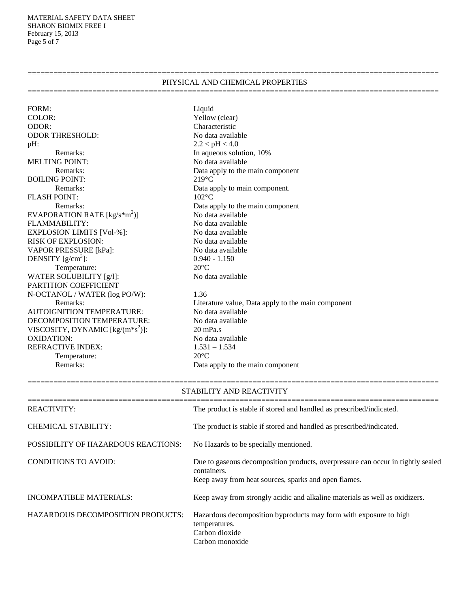MATERIAL SAFETY DATA SHEET SHARON BIOMIX FREE I February 15, 2013 Page 5 of 7

#### PHYSICAL AND CHEMICAL PROPERTIES ===============================================================================================

===============================================================================================

FORM: Liquid COLOR: Yellow (clear) ODOR: Characteristic<br>
ODOR THRESHOLD: Solomony No data available ODOR THRESHOLD: pH:  $2.2 < pH < 4.0$ Remarks: In aqueous solution, 10% MELTING POINT: No data available BOILING POINT: 219°C FLASH POINT: 102°C EVAPORATION RATE  $[kg/s*m<sup>2</sup>)$ FLAMMABILITY:<br>EXPLOSION LIMITS [Vol-%]: No data available<br>No data available EXPLOSION LIMITS [Vol-%]: RISK OF EXPLOSION: No data available VAPOR PRESSURE [kPa]: No data available DENSITY  $[g/cm^3]$ : Temperature: 20°C WATER SOLUBILITY [g/l]: No data available PARTITION COEFFICIENT N-OCTANOL / WATER (log PO/W): 1.36 AUTOIGNITION TEMPERATURE: DECOMPOSITION TEMPERATURE: No data available VISCOSITY, DYNAMIC  $[kg/(m*s^2)]$ : OXIDATION: No data available REFRACTIVE INDEX: 1.531 – 1.534<br>Temperature: 20°C Temperature:

Remarks: Data apply to the main component Remarks: Data apply to main component. Remarks: Data apply to the main component )] No data available  $0.940 - 1.150$ 

Remarks: Literature value, Data apply to the main component<br>
SNITION TEMPERATURE: No data available )]: 20 mPa.s Remarks: Data apply to the main component

| STABILITY AND REACTIVITY                   |                                                                                                                                                        |  |
|--------------------------------------------|--------------------------------------------------------------------------------------------------------------------------------------------------------|--|
| <b>REACTIVITY:</b>                         | The product is stable if stored and handled as prescribed/indicated.                                                                                   |  |
| CHEMICAL STABILITY:                        | The product is stable if stored and handled as prescribed/indicated.                                                                                   |  |
| <b>POSSIBILITY OF HAZARDOUS REACTIONS:</b> | No Hazards to be specially mentioned.                                                                                                                  |  |
| <b>CONDITIONS TO AVOID:</b>                | Due to gaseous decomposition products, overpressure can occur in tightly sealed<br>containers.<br>Keep away from heat sources, sparks and open flames. |  |
| <b>INCOMPATIBLE MATERIALS:</b>             | Keep away from strongly acidic and alkaline materials as well as oxidizers.                                                                            |  |
| <b>HAZARDOUS DECOMPOSITION PRODUCTS:</b>   | Hazardous decomposition byproducts may form with exposure to high<br>temperatures.<br>Carbon dioxide<br>Carbon monoxide                                |  |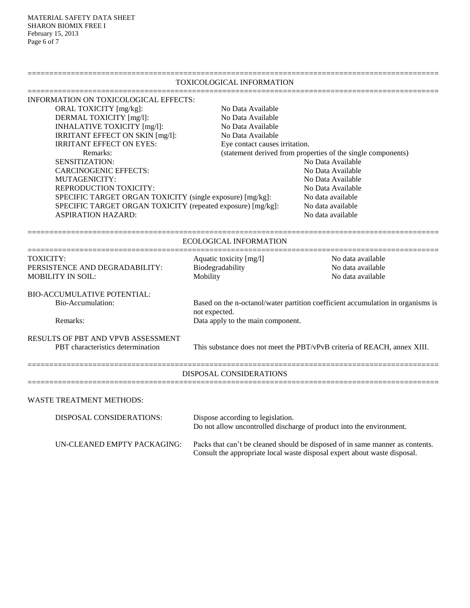MATERIAL SAFETY DATA SHEET SHARON BIOMIX FREE I February 15, 2013 Page 6 of 7

### TOXICOLOGICAL INFORMATION =============================================================================================== INFORMATION ON TOXICOLOGICAL EFFECTS: ORAL TOXICITY [mg/kg]: No Data Available DERMAL TOXICITY [mg/l]: No Data Available INHALATIVE TOXICITY [mg/l]: No Data Available IRRITANT EFFECT ON SKIN [mg/l]: No Data Available IRRITANT EFFECT ON EYES: Eye contact causes irritation. Remarks: (statement derived from properties of the single components) SENSITIZATION: No Data Available CARCINOGENIC EFFECTS: No Data Available MUTAGENICITY: No Data Available REPRODUCTION TOXICITY: No Data Available SPECIFIC TARGET ORGAN TOXICITY (single exposure) [mg/kg]: No data available SPECIFIC TARGET ORGAN TOXICITY (repeated exposure) [mg/kg]: No data available ASPIRATION HAZARD: No data available =============================================================================================== ECOLOGICAL INFORMATION =============================================================================================== TOXICITY: Aquatic toxicity [mg/l] No data available PERSISTENCE AND DEGRADABILITY: Biodegradability No data available MOBILITY IN SOIL: Mobility Mobility No data available BIO-ACCUMULATIVE POTENTIAL: Bio-Accumulation: Based on the n-octanol/water partition coefficient accumulation in organisms is not expected. Remarks: Data apply to the main component. RESULTS OF PBT AND VPVB ASSESSMENT PBT characteristics determination This substance does not meet the PBT/vPvB criteria of REACH, annex XIII. =============================================================================================== DISPOSAL CONSIDERATIONS =============================================================================================== WASTE TREATMENT METHODS: DISPOSAL CONSIDERATIONS: Dispose according to legislation. Do not allow uncontrolled discharge of product into the environment.

===============================================================================================

UN-CLEANED EMPTY PACKAGING: Packs that can't be cleaned should be disposed of in same manner as contents. Consult the appropriate local waste disposal expert about waste disposal.